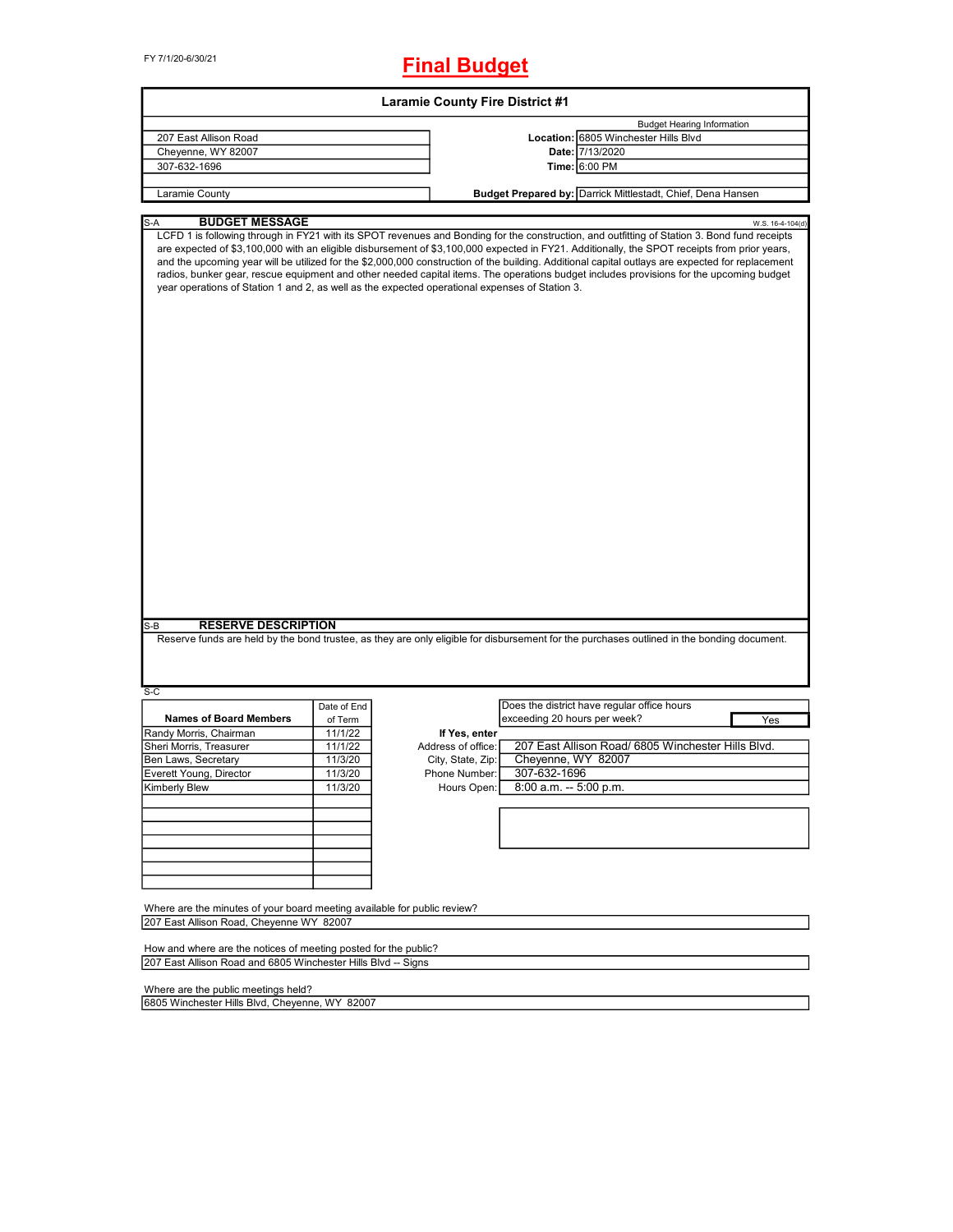FY 7/1/20-6/30/21

## **Final Budget**

|                                                                                                                                                                     |             | <b>Laramie County Fire District #1</b> |                              |                                                                                                                                                                                                                                                                                                                                                                                                                                                                                                                                                                                                                                                                                                                                           |                  |
|---------------------------------------------------------------------------------------------------------------------------------------------------------------------|-------------|----------------------------------------|------------------------------|-------------------------------------------------------------------------------------------------------------------------------------------------------------------------------------------------------------------------------------------------------------------------------------------------------------------------------------------------------------------------------------------------------------------------------------------------------------------------------------------------------------------------------------------------------------------------------------------------------------------------------------------------------------------------------------------------------------------------------------------|------------------|
|                                                                                                                                                                     |             |                                        |                              | <b>Budget Hearing Information</b>                                                                                                                                                                                                                                                                                                                                                                                                                                                                                                                                                                                                                                                                                                         |                  |
| 207 East Allison Road                                                                                                                                               |             |                                        |                              | Location: 6805 Winchester Hills Blvd                                                                                                                                                                                                                                                                                                                                                                                                                                                                                                                                                                                                                                                                                                      |                  |
| Cheyenne, WY 82007                                                                                                                                                  |             |                                        |                              | Date: 7/13/2020                                                                                                                                                                                                                                                                                                                                                                                                                                                                                                                                                                                                                                                                                                                           |                  |
| 307-632-1696                                                                                                                                                        |             |                                        |                              | Time: 6:00 PM                                                                                                                                                                                                                                                                                                                                                                                                                                                                                                                                                                                                                                                                                                                             |                  |
| Laramie County                                                                                                                                                      |             |                                        |                              | Budget Prepared by: Darrick Mittlestadt, Chief, Dena Hansen                                                                                                                                                                                                                                                                                                                                                                                                                                                                                                                                                                                                                                                                               |                  |
|                                                                                                                                                                     |             |                                        |                              |                                                                                                                                                                                                                                                                                                                                                                                                                                                                                                                                                                                                                                                                                                                                           |                  |
| <b>BUDGET MESSAGE</b><br>S-A<br>year operations of Station 1 and 2, as well as the expected operational expenses of Station 3.<br><b>RESERVE DESCRIPTION</b><br>S-B |             |                                        |                              | LCFD 1 is following through in FY21 with its SPOT revenues and Bonding for the construction, and outfitting of Station 3. Bond fund receipts<br>are expected of \$3,100,000 with an eligible disbursement of \$3,100,000 expected in FY21. Additionally, the SPOT receipts from prior years,<br>and the upcoming year will be utilized for the \$2,000,000 construction of the building. Additional capital outlays are expected for replacement<br>radios, bunker gear, rescue equipment and other needed capital items. The operations budget includes provisions for the upcoming budget<br>Reserve funds are held by the bond trustee, as they are only eligible for disbursement for the purchases outlined in the bonding document. | W.S. 16-4-104(d) |
| $S-C$                                                                                                                                                               |             |                                        |                              |                                                                                                                                                                                                                                                                                                                                                                                                                                                                                                                                                                                                                                                                                                                                           |                  |
|                                                                                                                                                                     | Date of End |                                        |                              | Does the district have regular office hours                                                                                                                                                                                                                                                                                                                                                                                                                                                                                                                                                                                                                                                                                               |                  |
| <b>Names of Board Members</b>                                                                                                                                       | of Term     |                                        | exceeding 20 hours per week? | Yes                                                                                                                                                                                                                                                                                                                                                                                                                                                                                                                                                                                                                                                                                                                                       |                  |
| Randy Morris, Chairman                                                                                                                                              | 11/1/22     | If Yes, enter                          |                              |                                                                                                                                                                                                                                                                                                                                                                                                                                                                                                                                                                                                                                                                                                                                           |                  |
| Sheri Morris, Treasurer                                                                                                                                             | 11/1/22     | Address of office:                     |                              | 207 East Allison Road/ 6805 Winchester Hills Blvd.                                                                                                                                                                                                                                                                                                                                                                                                                                                                                                                                                                                                                                                                                        |                  |
| Ben Laws, Secretary                                                                                                                                                 | 11/3/20     | City, State, Zip:                      | Cheyenne, WY 82007           |                                                                                                                                                                                                                                                                                                                                                                                                                                                                                                                                                                                                                                                                                                                                           |                  |
| Everett Young, Director                                                                                                                                             | 11/3/20     | Phone Number:                          | 307-632-1696                 |                                                                                                                                                                                                                                                                                                                                                                                                                                                                                                                                                                                                                                                                                                                                           |                  |
| <b>Kimberly Blew</b>                                                                                                                                                | 11/3/20     | Hours Open:                            | 8:00 a.m. -- 5:00 p.m.       |                                                                                                                                                                                                                                                                                                                                                                                                                                                                                                                                                                                                                                                                                                                                           |                  |
|                                                                                                                                                                     |             |                                        |                              |                                                                                                                                                                                                                                                                                                                                                                                                                                                                                                                                                                                                                                                                                                                                           |                  |
| Where are the minutes of your board meeting available for public review?<br>207 East Allison Road, Cheyenne WY 82007                                                |             |                                        |                              |                                                                                                                                                                                                                                                                                                                                                                                                                                                                                                                                                                                                                                                                                                                                           |                  |
| How and where are the notices of meeting posted for the public?                                                                                                     |             |                                        |                              |                                                                                                                                                                                                                                                                                                                                                                                                                                                                                                                                                                                                                                                                                                                                           |                  |
| 207 East Allison Road and 6805 Winchester Hills Blvd -- Signs                                                                                                       |             |                                        |                              |                                                                                                                                                                                                                                                                                                                                                                                                                                                                                                                                                                                                                                                                                                                                           |                  |
| Where are the public meetings held?                                                                                                                                 |             |                                        |                              |                                                                                                                                                                                                                                                                                                                                                                                                                                                                                                                                                                                                                                                                                                                                           |                  |
| 6805 Winchester Hills Blvd, Cheyenne, WY 82007                                                                                                                      |             |                                        |                              |                                                                                                                                                                                                                                                                                                                                                                                                                                                                                                                                                                                                                                                                                                                                           |                  |

6805 Winchester Hills Blvd, Cheyenne, WY 82007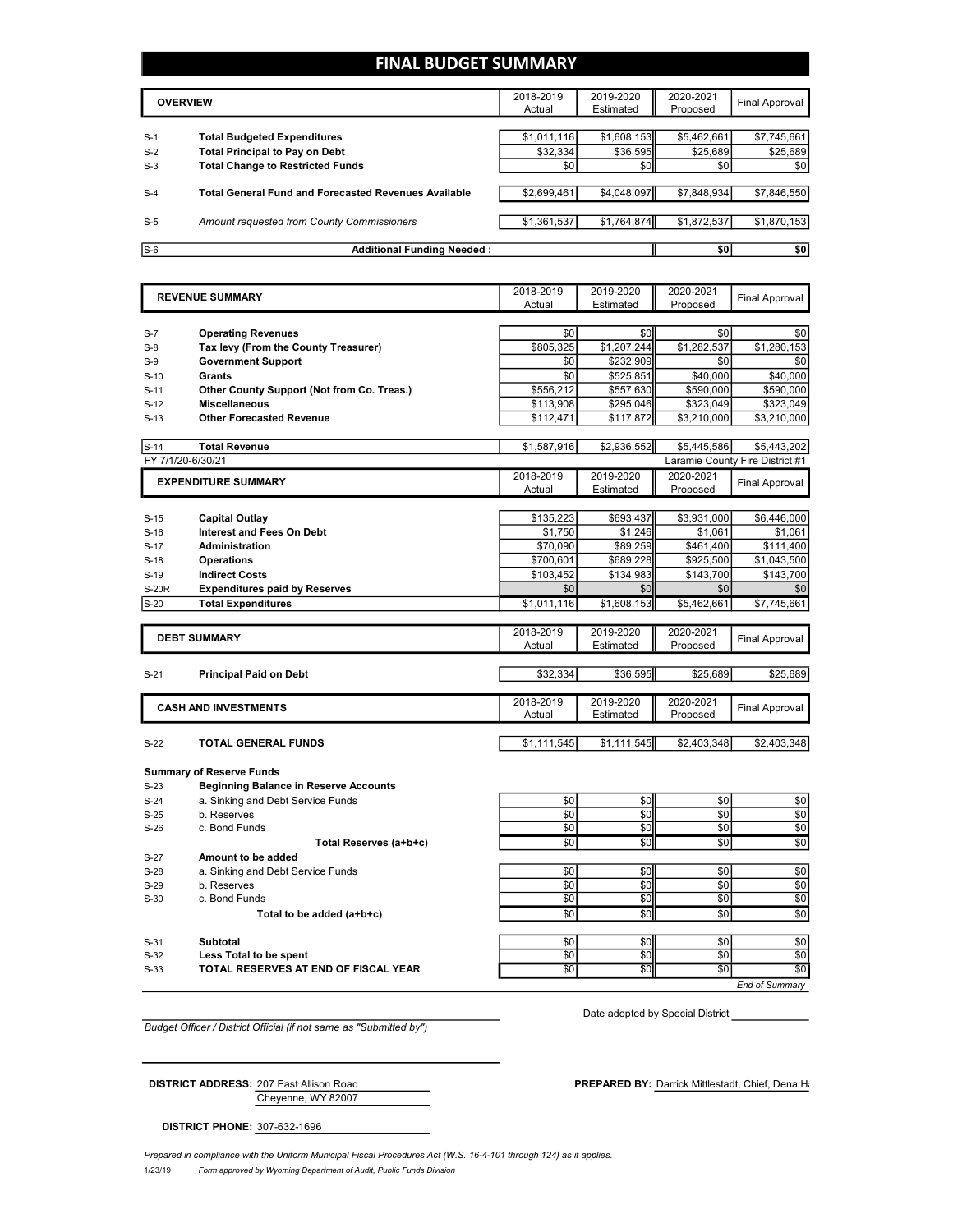## **FINAL BUDGET SUMMARY**

|       | <b>OVERVIEW</b>                                             | 2018-2019<br>Actual | 2019-2020<br>Estimated | 2020-2021<br>Proposed | Final Approval |
|-------|-------------------------------------------------------------|---------------------|------------------------|-----------------------|----------------|
|       |                                                             |                     |                        |                       |                |
| $S-1$ | <b>Total Budgeted Expenditures</b>                          | \$1,011,116         | \$1,608,153            | \$5,462,661           | \$7,745,661    |
| $S-2$ | <b>Total Principal to Pay on Debt</b>                       | \$32.334            | \$36,595               | \$25,689              | \$25,689       |
| $S-3$ | <b>Total Change to Restricted Funds</b>                     | \$0                 | \$0                    | \$0                   | \$0            |
|       |                                                             |                     |                        |                       |                |
| $S-4$ | <b>Total General Fund and Forecasted Revenues Available</b> | \$2,699.461         | \$4,048,097            | \$7,848,934           | \$7,846,550    |
|       |                                                             |                     |                        |                       |                |
| $S-5$ | Amount requested from County Commissioners                  | \$1,361,537         | \$1,764,874            | \$1,872,537           | \$1,870,153    |
|       |                                                             |                     |                        |                       |                |
| $S-6$ | <b>Additional Funding Needed:</b>                           |                     |                        | \$0                   | \$0            |

| <b>REVENUE SUMMARY</b> |                                                                    | 2018-2019        | 2019-2020   | 2020-2021          | <b>Final Approval</b>           |
|------------------------|--------------------------------------------------------------------|------------------|-------------|--------------------|---------------------------------|
|                        |                                                                    | Actual           | Estimated   | Proposed           |                                 |
|                        |                                                                    |                  | \$0         |                    |                                 |
| $S-7$                  | <b>Operating Revenues</b>                                          | \$0<br>\$805,325 | \$1,207,244 | \$0                | \$0<br>\$1,280,153              |
| $S-8$<br>$S-9$         | Tax levy (From the County Treasurer)<br><b>Government Support</b>  | \$0              | \$232,909   | \$1,282,537<br>\$0 | \$0                             |
| $S-10$                 | Grants                                                             | \$0              | \$525,851   | \$40,000           | \$40,000                        |
| $S-11$                 |                                                                    | \$556,212        | \$557,630   | \$590,000          | \$590,000                       |
| $S-12$                 | Other County Support (Not from Co. Treas.)<br><b>Miscellaneous</b> | \$113,908        | \$295,046   | \$323,049          | \$323,049                       |
|                        | <b>Other Forecasted Revenue</b>                                    |                  |             |                    |                                 |
| $S-13$                 |                                                                    | \$112,471        | \$117,872   | \$3,210,000        | \$3,210,000                     |
| $S-14$                 | <b>Total Revenue</b>                                               | \$1,587,916      | \$2,936,552 | \$5,445,586        | \$5,443,202                     |
| FY 7/1/20-6/30/21      |                                                                    |                  |             |                    | Laramie County Fire District #1 |
|                        | <b>EXPENDITURE SUMMARY</b>                                         | 2018-2019        | 2019-2020   | 2020-2021          |                                 |
|                        |                                                                    | Actual           | Estimated   | Proposed           | <b>Final Approval</b>           |
|                        |                                                                    |                  |             |                    |                                 |
| $S-15$                 | Capital Outlay                                                     | \$135,223        | \$693,437   | \$3,931,000        | \$6,446,000                     |
| $S-16$                 | <b>Interest and Fees On Debt</b>                                   | \$1.750          | \$1.246     | \$1.061            | \$1,061                         |
| $S-17$                 | <b>Administration</b>                                              | \$70,090         | \$89,259    | \$461,400          | \$111,400                       |
| $S-18$                 | <b>Operations</b>                                                  | \$700,601        | \$689,228   | \$925,500          | \$1,043,500                     |
| $S-19$                 | <b>Indirect Costs</b>                                              | \$103,452        | \$134,983   | \$143,700          | \$143,700                       |
| <b>S-20R</b>           | <b>Expenditures paid by Reserves</b>                               | \$0              | \$0         | \$0                | \$0                             |
| $S-20$                 | <b>Total Expenditures</b>                                          | \$1,011,116      | \$1,608,153 | \$5,462,661        | \$7,745,661                     |
|                        |                                                                    |                  |             |                    |                                 |
|                        | <b>DEBT SUMMARY</b>                                                | 2018-2019        | 2019-2020   | 2020-2021          | <b>Final Approval</b>           |
|                        |                                                                    | Actual           | Estimated   | Proposed           |                                 |
| $S-21$                 | <b>Principal Paid on Debt</b>                                      | \$32,334         | \$36,595    | \$25,689           | \$25,689                        |
|                        |                                                                    |                  |             |                    |                                 |
|                        |                                                                    | 2018-2019        | 2019-2020   | 2020-2021          |                                 |
|                        | <b>CASH AND INVESTMENTS</b>                                        | Actual           | Estimated   | Proposed           | <b>Final Approval</b>           |
|                        |                                                                    |                  |             |                    |                                 |
| $S-22$                 | <b>TOTAL GENERAL FUNDS</b>                                         | \$1,111,545      | \$1,111,545 | \$2,403,348        | \$2,403,348                     |
|                        |                                                                    |                  |             |                    |                                 |
|                        | <b>Summary of Reserve Funds</b>                                    |                  |             |                    |                                 |
| $S-23$                 | <b>Beginning Balance in Reserve Accounts</b>                       |                  |             |                    |                                 |
| $S-24$                 | a. Sinking and Debt Service Funds                                  | \$0              | \$0         | \$0                | \$0                             |
| $S-25$                 | b. Reserves<br>c. Bond Funds                                       | \$0<br>\$0       | \$0<br>\$0  | \$0<br>\$0         | \$0<br>\$0                      |
| $S-26$                 |                                                                    | \$0              | \$0         | \$0                | \$0                             |
|                        | Total Reserves (a+b+c)                                             |                  |             |                    |                                 |
| $S-27$<br>$S-28$       | Amount to be added                                                 | \$0              | \$0         | \$0                | \$0                             |
|                        | a. Sinking and Debt Service Funds                                  | \$0              | \$0         | \$0                | \$0                             |
|                        |                                                                    |                  |             |                    |                                 |
| $S-29$                 | b. Reserves                                                        |                  |             |                    |                                 |
| $S-30$                 | c. Bond Funds                                                      | \$0              | \$0         | \$0                | \$0                             |
|                        | Total to be added (a+b+c)                                          | \$0              | \$0         | \$0                | \$0                             |
|                        |                                                                    |                  |             |                    |                                 |
| $S-31$<br>$S-32$       | Subtotal<br>Less Total to be spent                                 | \$0<br>\$0       | \$0<br>\$0  | \$0<br>\$0         | \$0<br>\$0                      |

*Budget Officer / District Official (if not same as "Submitted by")*

Date adopted by Special District

Cheyenne, WY 82007

**DISTRICT PHONE:** 307-632-1696

**DISTRICT ADDRESS:** 207 East Allison Road **PREPARED BY:** Darrick Mittlestadt, Chief, Dena Hansen Book

*End of Summary*

1/23/19 *Form approved by Wyoming Department of Audit, Public Funds Division Prepared in compliance with the Uniform Municipal Fiscal Procedures Act (W.S. 16-4-101 through 124) as it applies.*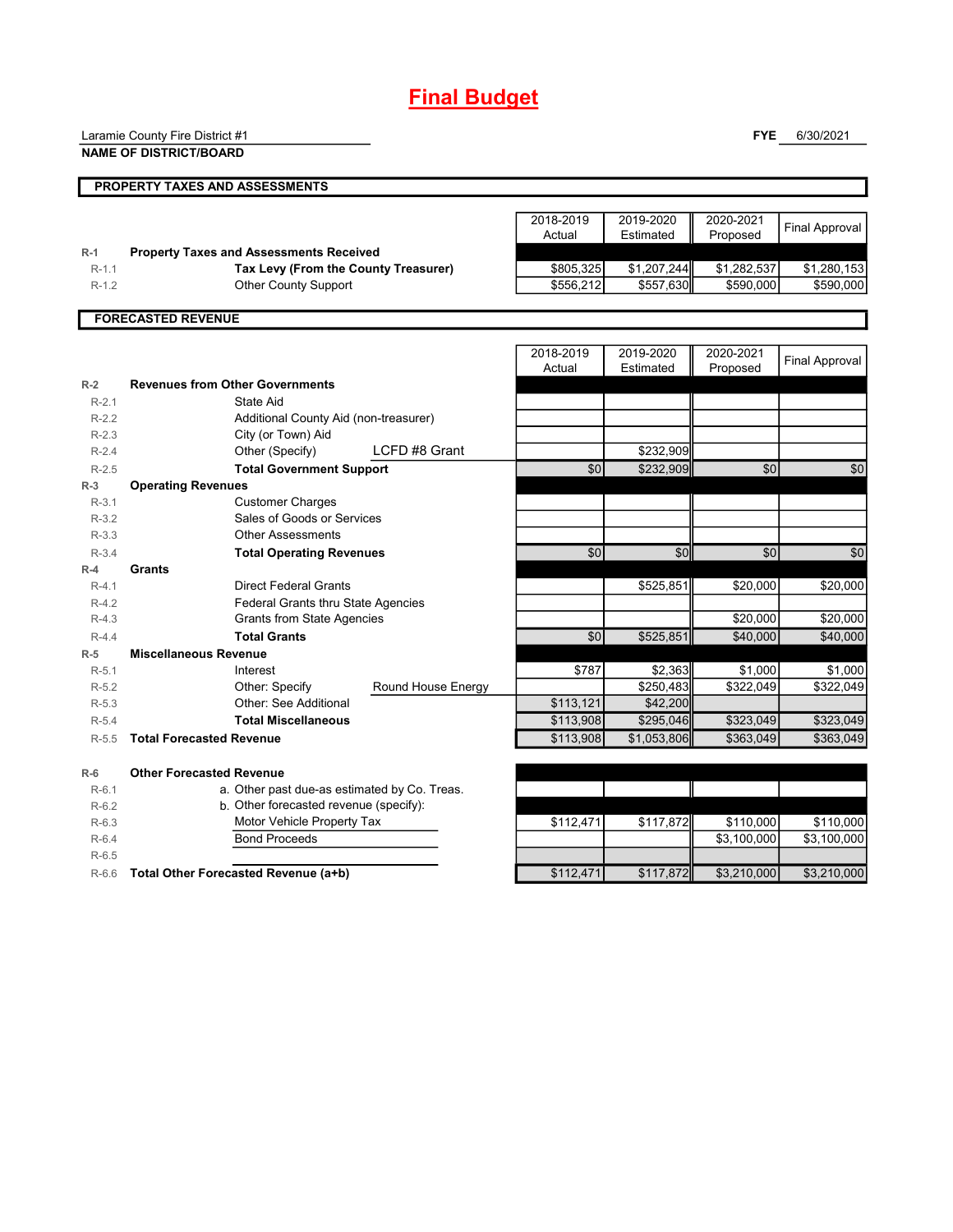# **Final Budget**

|                  | Laramie County Fire District #1                          |                    |                     |                        | <b>FYE</b>            | 6/30/2021             |
|------------------|----------------------------------------------------------|--------------------|---------------------|------------------------|-----------------------|-----------------------|
|                  | <b>NAME OF DISTRICT/BOARD</b>                            |                    |                     |                        |                       |                       |
|                  | PROPERTY TAXES AND ASSESSMENTS                           |                    |                     |                        |                       |                       |
|                  |                                                          |                    |                     |                        |                       |                       |
|                  |                                                          |                    | 2018-2019<br>Actual | 2019-2020<br>Estimated | 2020-2021<br>Proposed | <b>Final Approval</b> |
| $R-1$            | <b>Property Taxes and Assessments Received</b>           |                    |                     |                        |                       |                       |
| $R-1.1$          | Tax Levy (From the County Treasurer)                     |                    | \$805,325           | \$1,207,244            | \$1,282,537           | \$1,280,153           |
| $R-1.2$          | <b>Other County Support</b>                              |                    | \$556,212           | \$557,630              | \$590,000             | \$590,000             |
|                  | <b>FORECASTED REVENUE</b>                                |                    |                     |                        |                       |                       |
|                  |                                                          |                    |                     |                        |                       |                       |
|                  |                                                          |                    | 2018-2019<br>Actual | 2019-2020<br>Estimated | 2020-2021<br>Proposed | <b>Final Approval</b> |
| $R-2$            | <b>Revenues from Other Governments</b>                   |                    |                     |                        |                       |                       |
| $R-2.1$          | State Aid                                                |                    |                     |                        |                       |                       |
| $R-2.2$          | Additional County Aid (non-treasurer)                    |                    |                     |                        |                       |                       |
| $R-2.3$          | City (or Town) Aid                                       |                    |                     |                        |                       |                       |
| $R-2.4$          | Other (Specify)                                          | LCFD #8 Grant      |                     | \$232,909              |                       |                       |
| $R-2.5$          | <b>Total Government Support</b>                          |                    | \$0                 | \$232,909              | \$0                   | \$0                   |
| $R-3$            | <b>Operating Revenues</b>                                |                    |                     |                        |                       |                       |
| $R-3.1$          | <b>Customer Charges</b>                                  |                    |                     |                        |                       |                       |
| $R-3.2$          | Sales of Goods or Services                               |                    |                     |                        |                       |                       |
| $R-3.3$          | <b>Other Assessments</b>                                 |                    |                     |                        |                       |                       |
| $R-3.4$          | <b>Total Operating Revenues</b>                          |                    | $\overline{50}$     | \$0                    | \$0                   | \$0                   |
| $R-4$            | Grants                                                   |                    |                     |                        |                       |                       |
| $R-4.1$          | <b>Direct Federal Grants</b>                             |                    |                     | \$525,851              | \$20,000              | \$20,000              |
| $R-4.2$          | <b>Federal Grants thru State Agencies</b>                |                    |                     |                        |                       |                       |
| $R-4.3$          | <b>Grants from State Agencies</b><br><b>Total Grants</b> |                    |                     |                        | \$20,000              | \$20,000              |
| $R-4.4$          | <b>Miscellaneous Revenue</b>                             |                    | $\overline{50}$     | \$525,851              | \$40,000              | \$40.000              |
| $R-5$<br>$R-5.1$ | Interest                                                 |                    | \$787               | \$2,363                | \$1,000               | \$1,000               |
| $R-5.2$          | Other: Specify                                           | Round House Energy |                     | \$250,483              | \$322,049             | \$322,049             |
| $R-5.3$          | Other: See Additional                                    |                    | \$113,121           | \$42,200               |                       |                       |
| $R-5.4$          | <b>Total Miscellaneous</b>                               |                    | \$113,908           | \$295,046              | \$323,049             | \$323,049             |
| $R-5.5$          | <b>Total Forecasted Revenue</b>                          |                    | \$113,908           | \$1,053,806            | \$363,049             | \$363.049             |
| $R-6$            | <b>Other Forecasted Revenue</b>                          |                    |                     |                        |                       |                       |
| $R-6.1$          | a. Other past due-as estimated by Co. Treas.             |                    |                     |                        |                       |                       |
| $R-6.2$          | b. Other forecasted revenue (specify):                   |                    |                     |                        |                       |                       |
| $R-6.3$          | Motor Vehicle Property Tax                               |                    | \$112,471           | \$117,872              | \$110,000             | \$110,000             |
| $R-6.4$          | <b>Bond Proceeds</b>                                     |                    |                     |                        | \$3,100,000           | \$3,100,000           |
| $R-6.5$          |                                                          |                    |                     |                        |                       |                       |
| $R-6.6$          | Total Other Forecasted Revenue (a+b)                     |                    | \$112,471           | \$117.872              | \$3,210,000           | \$3,210,000           |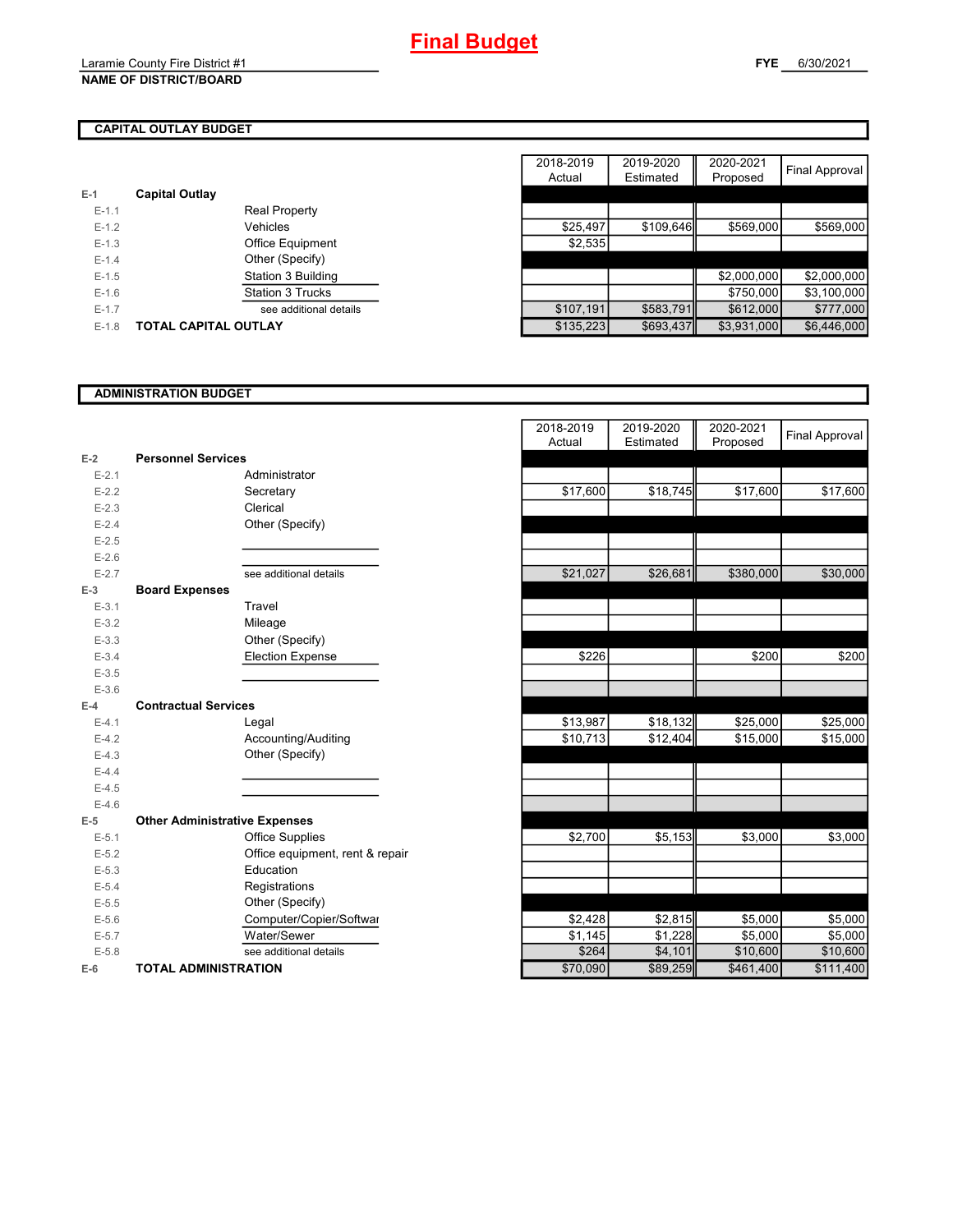## **CAPITAL OUTLAY BUDGET**

| $E-1$     | <b>Capital Outlay</b>   |           |
|-----------|-------------------------|-----------|
| $E - 1.1$ | <b>Real Property</b>    |           |
| $E-1.2$   | Vehicles                | \$25.497  |
| $E - 1.3$ | <b>Office Equipment</b> | \$2,535   |
| $E - 1.4$ | Other (Specify)         |           |
| $E-1.5$   | Station 3 Building      |           |
| $E-1.6$   | <b>Station 3 Trucks</b> |           |
| $E - 1.7$ | see additional details  | \$107,191 |
| $E - 1.8$ | TOTAL CAPITAL OUTLAY    | \$135.223 |

|           |                             |                         | 2018-2019 | 2019-2020 | 2020-2021   |                |
|-----------|-----------------------------|-------------------------|-----------|-----------|-------------|----------------|
|           |                             |                         | Actual    | Estimated | Proposed    | Final Approval |
|           | <b>Capital Outlay</b>       |                         |           |           |             |                |
| $E-1.1$   |                             | <b>Real Property</b>    |           |           |             |                |
| $E-1.2$   |                             | Vehicles                | \$25,497  | \$109,646 | \$569,000   | \$569,000      |
| $E-1.3$   |                             | Office Equipment        | \$2,535   |           |             |                |
| $E-1.4$   |                             | Other (Specify)         |           |           |             |                |
| $E-1.5$   |                             | Station 3 Building      |           |           | \$2,000,000 | \$2,000,000    |
| $E-1.6$   |                             | <b>Station 3 Trucks</b> |           |           | \$750,000   | \$3,100,000    |
| $E - 1.7$ |                             | see additional details  | \$107,191 | \$583,791 | \$612,000   | \$777,000      |
| $E-1.8$   | <b>TOTAL CAPITAL OUTLAY</b> |                         | \$135,223 | \$693,437 | \$3,931,000 | \$6,446,000    |

## **ADMINISTRATION BUDGET**

| $E-2$     | <b>Personnel Services</b>            |
|-----------|--------------------------------------|
| $E - 2.1$ | Administrator                        |
| $E-2.2$   | Secretary                            |
| $E - 2.3$ | Clerical                             |
| $E-2.4$   | Other (Specify)                      |
| $E - 2.5$ |                                      |
| $E-2.6$   |                                      |
| $E - 2.7$ | see additional details               |
|           | <b>Board Expenses</b>                |
| E-3       |                                      |
| $E - 3.1$ | Travel                               |
| $E - 3.2$ | Mileage                              |
| $E - 3.3$ | Other (Specify)                      |
| $E - 3.4$ | Election Expense                     |
| $E - 3.5$ |                                      |
| $E - 3.6$ |                                      |
| F-4       | <b>Contractual Services</b>          |
| $E - 4.1$ | Legal                                |
| $E-4.2$   | Accounting/Auditing                  |
| $E-4.3$   | Other (Specify)                      |
| $E-4.4$   |                                      |
| $E-4.5$   |                                      |
| $E - 4.6$ |                                      |
| $E-5$     | <b>Other Administrative Expenses</b> |
| $E - 5.1$ | <b>Office Supplies</b>               |
| $E-5.2$   | Office equipment, rent & repair      |
| $E - 5.3$ | Education                            |
| $E - 5.4$ | Registrations                        |
| $E - 5.5$ | Other (Specify)                      |
| $E - 5.6$ | Computer/Copier/Softwar              |
| $E - 5.7$ | Water/Sewer                          |
| $E - 5.8$ | see additional details               |
| $E-6$     | <b>TOTAL ADMINISTRATION</b>          |

|                          |                                      | 2018-2019<br>Actual | 2019-2020<br>Estimated | 2020-2021<br>Proposed | <b>Final Approval</b> |
|--------------------------|--------------------------------------|---------------------|------------------------|-----------------------|-----------------------|
| 2                        | <b>Personnel Services</b>            |                     |                        |                       |                       |
| $E - 2.1$                | Administrator                        |                     |                        |                       |                       |
| $E - 2.2$                | Secretary                            | \$17,600            | \$18,745               | \$17,600              | \$17,600              |
| $E - 2.3$                | Clerical                             |                     |                        |                       |                       |
| $E - 2.4$                | Other (Specify)                      |                     |                        |                       |                       |
| $E - 2.5$                |                                      |                     |                        |                       |                       |
| $E - 2.6$                |                                      |                     |                        |                       |                       |
| $E - 2.7$                | see additional details               | \$21,027            | \$26,681               | \$380,000             | \$30,000              |
| $\overline{\phantom{0}}$ | <b>Board Expenses</b>                |                     |                        |                       |                       |
| $E - 3.1$                | Travel                               |                     |                        |                       |                       |
| $E - 3.2$                | Mileage                              |                     |                        |                       |                       |
| $E - 3.3$                | Other (Specify)                      |                     |                        |                       |                       |
| $E - 3.4$                | <b>Election Expense</b>              | \$226               |                        | \$200                 | \$200                 |
| $E - 3.5$                |                                      |                     |                        |                       |                       |
| $E - 3.6$                |                                      |                     |                        |                       |                       |
| ı.                       | <b>Contractual Services</b>          |                     |                        |                       |                       |
| $E - 4.1$                | Legal                                | \$13,987            | \$18,132               | \$25,000              | \$25,000              |
| $E - 4.2$                | Accounting/Auditing                  | \$10,713            | \$12,404               | \$15,000              | \$15,000              |
| $E - 4.3$                | Other (Specify)                      |                     |                        |                       |                       |
| $E - 4.4$                |                                      |                     |                        |                       |                       |
| $E-4.5$                  |                                      |                     |                        |                       |                       |
| $E - 4.6$                |                                      |                     |                        |                       |                       |
| 5                        | <b>Other Administrative Expenses</b> |                     |                        |                       |                       |
| $E - 5.1$                | Office Supplies                      | \$2,700             | \$5,153                | \$3,000               | \$3,000               |
| $E - 5.2$                | Office equipment, rent & repair      |                     |                        |                       |                       |
| $E - 5.3$                | Education                            |                     |                        |                       |                       |
| $E - 5.4$                | Registrations                        |                     |                        |                       |                       |
| $E - 5.5$                | Other (Specify)                      |                     |                        |                       |                       |
| $E - 5.6$                | Computer/Copier/Softwar              | \$2,428             | \$2,815                | \$5,000               | \$5,000               |
| $E - 5.7$                | Water/Sewer                          | \$1,145             | \$1,228                | \$5,000               | \$5,000               |
| $E-5.8$                  | see additional details               | \$264               | \$4,101                | \$10,600              | \$10,600              |
| ŝ                        | <b>TOTAL ADMINISTRATION</b>          | \$70,090            | \$89,259               | \$461,400             | \$111,400             |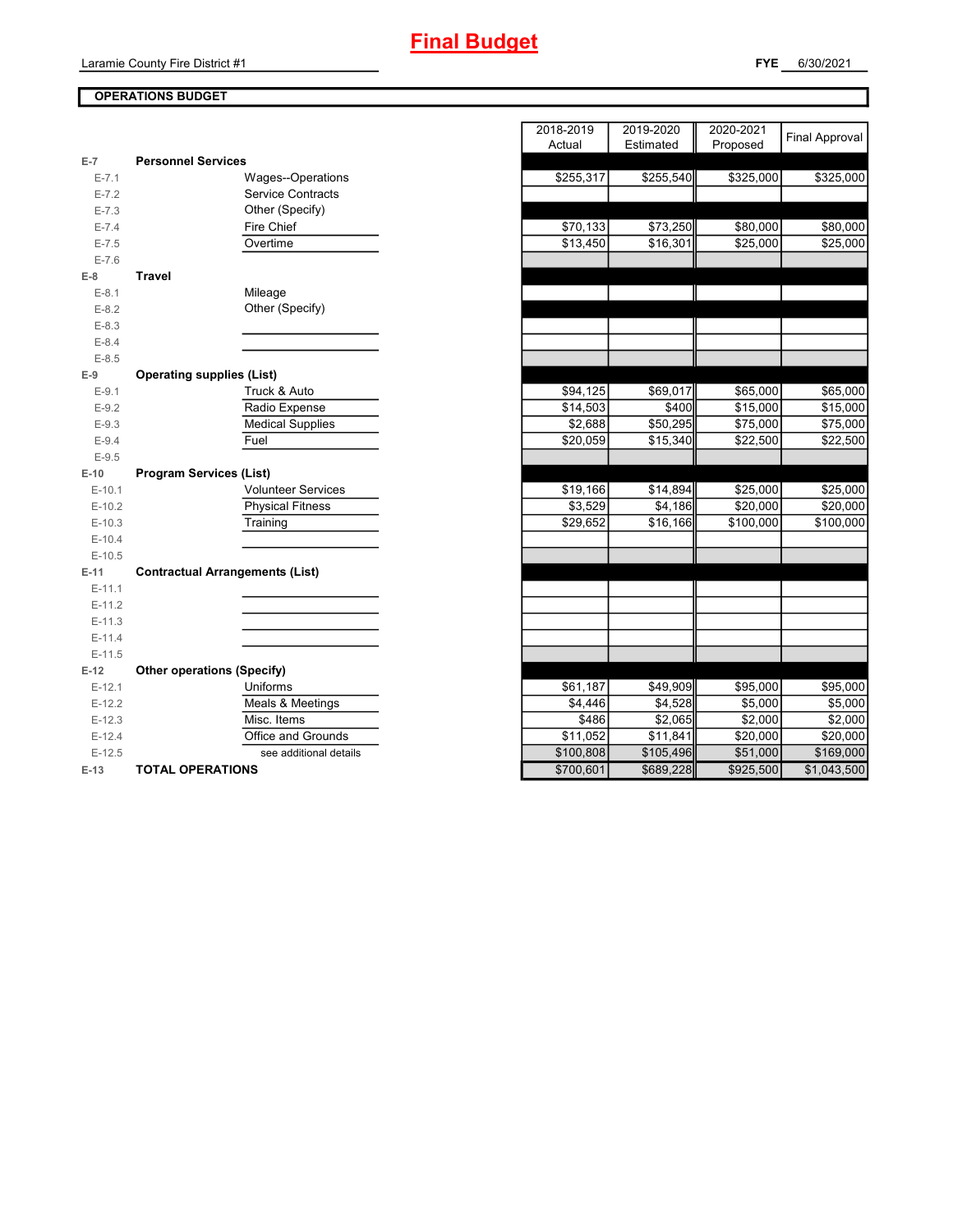

## Laramie County Fire District #1

## **OPERATIONS BUDGET**

| $E-7$     | <b>Personnel Services</b>              |
|-----------|----------------------------------------|
| $E - 7.1$ | <b>Wages--Operations</b>               |
| $E - 7.2$ | <b>Service Contracts</b>               |
| $E - 7.3$ | Other (Specify)                        |
| $E - 7.4$ | Fire Chief                             |
| $E - 7.5$ | Overtime                               |
| $E - 7.6$ |                                        |
| E-8       | Travel                                 |
| $E-8.1$   | Mileage                                |
| $E-8.2$   | Other (Specify)                        |
| $E-8.3$   |                                        |
| $E - 8.4$ |                                        |
| $E - 8.5$ |                                        |
| $E-9$     | <b>Operating supplies (List)</b>       |
| $E-9.1$   | Truck & Auto                           |
| $E-9.2$   | Radio Expense                          |
| $E - 9.3$ | <b>Medical Supplies</b>                |
| $E-9.4$   | Fuel                                   |
| $E-9.5$   |                                        |
| $E-10$    | <b>Program Services (List)</b>         |
| $E-10.1$  | <b>Volunteer Services</b>              |
| $E-10.2$  | <b>Physical Fitness</b>                |
| $E-10.3$  | Training                               |
| $E-10.4$  |                                        |
| $E-10.5$  |                                        |
| $E-11$    | <b>Contractual Arrangements (List)</b> |
| $E-11.1$  |                                        |
| $E-11.2$  |                                        |
| $E-11.3$  |                                        |
| $E-11.4$  |                                        |
| $E-11.5$  |                                        |
| $E-12$    | <b>Other operations (Specify)</b>      |
| $E-12.1$  | Uniforms                               |
| $E-12.2$  | Meals & Meetings                       |
| $E-12.3$  | Misc. Items                            |
| $E-12.4$  | Office and Grounds                     |
| $E-12.5$  | see additional details                 |
| $E-13$    | <b>TOTAL OPERATIONS</b>                |

|           |                                        | 2018-2019 | 2019-2020 | 2020-2021 | <b>Final Approval</b> |
|-----------|----------------------------------------|-----------|-----------|-----------|-----------------------|
|           |                                        | Actual    | Estimated | Proposed  |                       |
| $E-7$     | <b>Personnel Services</b>              |           |           |           |                       |
| $E - 7.1$ | Wages--Operations                      | \$255,317 | \$255,540 | \$325,000 | \$325,000             |
| $E - 7.2$ | <b>Service Contracts</b>               |           |           |           |                       |
| $E - 7.3$ | Other (Specify)                        |           |           |           |                       |
| $E - 7.4$ | Fire Chief                             | \$70,133  | \$73,250  | \$80,000  | \$80,000              |
| $E - 7.5$ | Overtime                               | \$13,450  | \$16,301  | \$25,000  | \$25,000              |
| $E - 7.6$ |                                        |           |           |           |                       |
| $E-8$     | <b>Travel</b>                          |           |           |           |                       |
| $E-8.1$   | Mileage                                |           |           |           |                       |
| $E-8.2$   | Other (Specify)                        |           |           |           |                       |
| $E - 8.3$ |                                        |           |           |           |                       |
| $E - 8.4$ |                                        |           |           |           |                       |
| $E - 8.5$ |                                        |           |           |           |                       |
| $E-9$     | <b>Operating supplies (List)</b>       |           |           |           |                       |
| $E-9.1$   | Truck & Auto                           | \$94,125  | \$69,017  | \$65,000  | \$65,000              |
| $E - 9.2$ | Radio Expense                          | \$14,503  | \$400     | \$15,000  | \$15,000              |
| $E - 9.3$ | <b>Medical Supplies</b>                | \$2,688   | \$50,295  | \$75,000  | \$75,000              |
| $E - 9.4$ | Fuel                                   | \$20,059  | \$15,340  | \$22,500  | \$22,500              |
| $E-9.5$   |                                        |           |           |           |                       |
| $E-10$    | <b>Program Services (List)</b>         |           |           |           |                       |
| $E-10.1$  | <b>Volunteer Services</b>              | \$19,166  | \$14,894  | \$25,000  | \$25,000              |
| $E-10.2$  | <b>Physical Fitness</b>                | \$3,529   | \$4,186   | \$20,000  | \$20,000              |
| $E-10.3$  | Training                               | \$29,652  | \$16,166  | \$100,000 | \$100,000             |
| $E-10.4$  |                                        |           |           |           |                       |
| $E-10.5$  |                                        |           |           |           |                       |
| $E-11$    | <b>Contractual Arrangements (List)</b> |           |           |           |                       |
| $E-11.1$  |                                        |           |           |           |                       |
| $E-11.2$  |                                        |           |           |           |                       |
| $E-11.3$  |                                        |           |           |           |                       |
| $E-11.4$  |                                        |           |           |           |                       |
| $E-11.5$  |                                        |           |           |           |                       |
| $E-12$    | <b>Other operations (Specify)</b>      |           |           |           |                       |
| $E-12.1$  | Uniforms                               | \$61,187  | \$49,909  | \$95,000  | \$95,000              |
| $E-12.2$  | Meals & Meetings                       | \$4,446   | \$4,528   | \$5,000   | \$5,000               |
| $E-12.3$  | Misc. Items                            | \$486     | \$2,065   | \$2,000   | \$2,000               |
| $E-12.4$  | Office and Grounds                     | \$11,052  | \$11,841  | \$20,000  | \$20,000              |
| $E-12.5$  | see additional details                 | \$100,808 | \$105,496 | \$51,000  | \$169,000             |
| E-13      | <b>TOTAL OPERATIONS</b>                | \$700,601 | \$689,228 | \$925,500 | \$1,043,500           |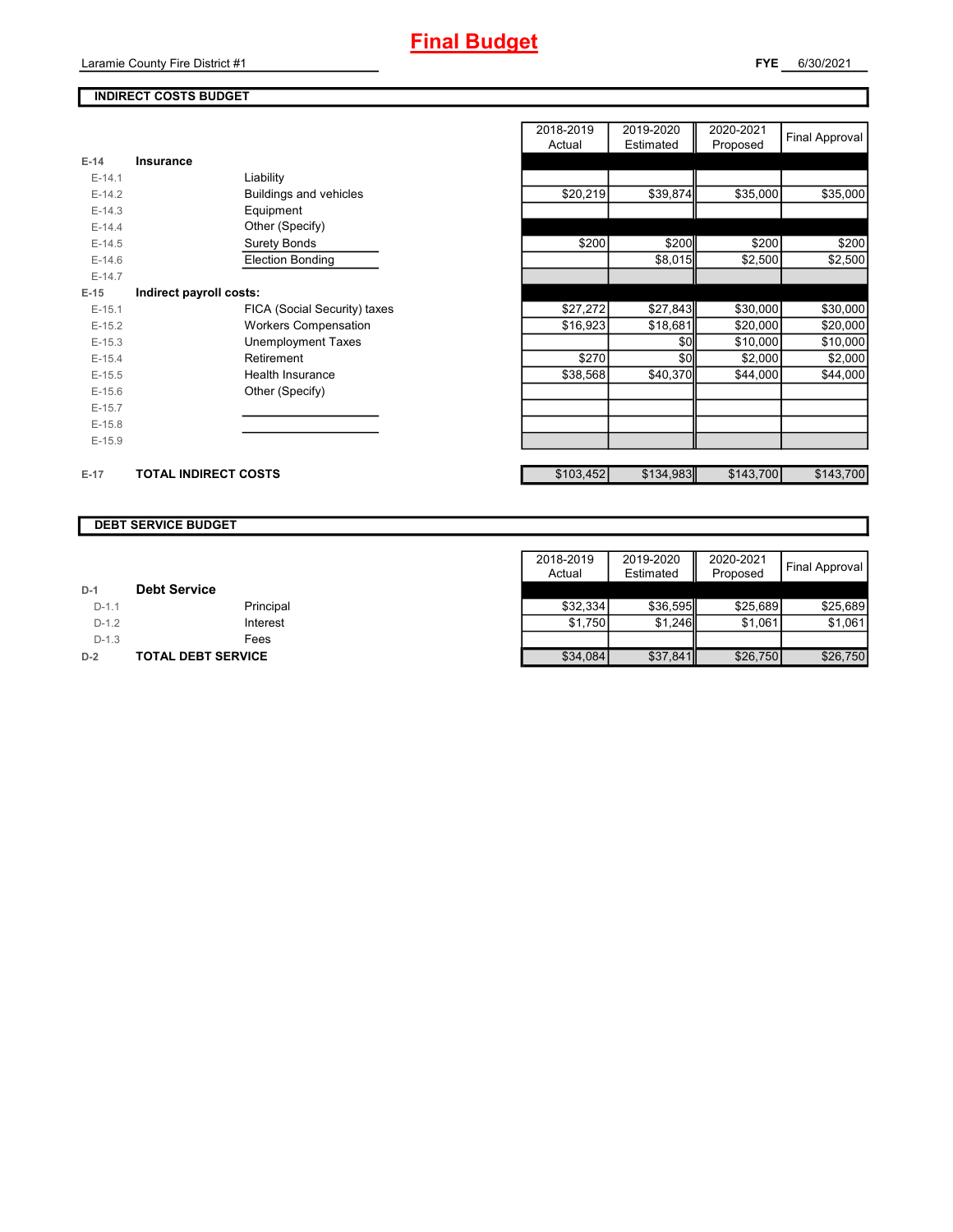## **INDIRECT COSTS BUDGET**

|          |                               | 2018-2019<br>Actual | 2019-2020<br>Estimated | 2020-2021<br>Proposed | Final Approval |
|----------|-------------------------------|---------------------|------------------------|-----------------------|----------------|
| $E-14$   | Insurance                     |                     |                        |                       |                |
| $E-14.1$ | Liability                     |                     |                        |                       |                |
| $E-14.2$ | <b>Buildings and vehicles</b> | \$20,219            | \$39,874               | \$35,000              | \$35,000       |
| $E-14.3$ | Equipment                     |                     |                        |                       |                |
| $E-14.4$ | Other (Specify)               |                     |                        |                       |                |
| $E-14.5$ | <b>Surety Bonds</b>           | \$200               | \$200                  | \$200                 | \$200          |
| $E-14.6$ | <b>Election Bonding</b>       |                     | \$8,015                | \$2,500               | \$2,500        |
| $E-14.7$ |                               |                     |                        |                       |                |
| $E-15$   | Indirect payroll costs:       |                     |                        |                       |                |
| $E-15.1$ | FICA (Social Security) taxes  | \$27,272            | \$27,843               | \$30,000              | \$30,000       |
| $E-15.2$ | <b>Workers Compensation</b>   | \$16,923            | \$18,681               | \$20,000              | \$20,000       |
| $E-15.3$ | Unemployment Taxes            |                     | \$0                    | \$10,000              | \$10,000       |
| $E-15.4$ | Retirement                    | \$270               | \$0                    | \$2,000               | \$2,000        |
| $E-15.5$ | Health Insurance              | \$38,568            | \$40,370               | \$44,000              | \$44,000       |
| $E-15.6$ | Other (Specify)               |                     |                        |                       |                |
| $E-15.7$ |                               |                     |                        |                       |                |
| $E-15.8$ |                               |                     |                        |                       |                |
| $E-15.9$ |                               |                     |                        |                       |                |
| $E-17$   | <b>TOTAL INDIRECT COSTS</b>   | \$103,452           | \$134,983              | \$143,700             | \$143,700      |

#### **DEBT SERVICE BUDGET**

|         |                           | 2018-2019 | 2019-2020 | 2020-2021 |                |
|---------|---------------------------|-----------|-----------|-----------|----------------|
|         |                           | Actual    | Estimated | Proposed  | Final Approval |
| $D-1$   | <b>Debt Service</b>       |           |           |           |                |
| $D-1.1$ | Principal                 | \$32.334  | \$36,595  | \$25.689  | \$25.689       |
| $D-1.2$ | Interest                  | \$1.750   | \$1.246   | \$1.061   | \$1,061        |
| $D-1.3$ | Fees                      |           |           |           |                |
| $D-2$   | <b>TOTAL DEBT SERVICE</b> | \$34,084  | \$37,841  | \$26,750  | \$26,750       |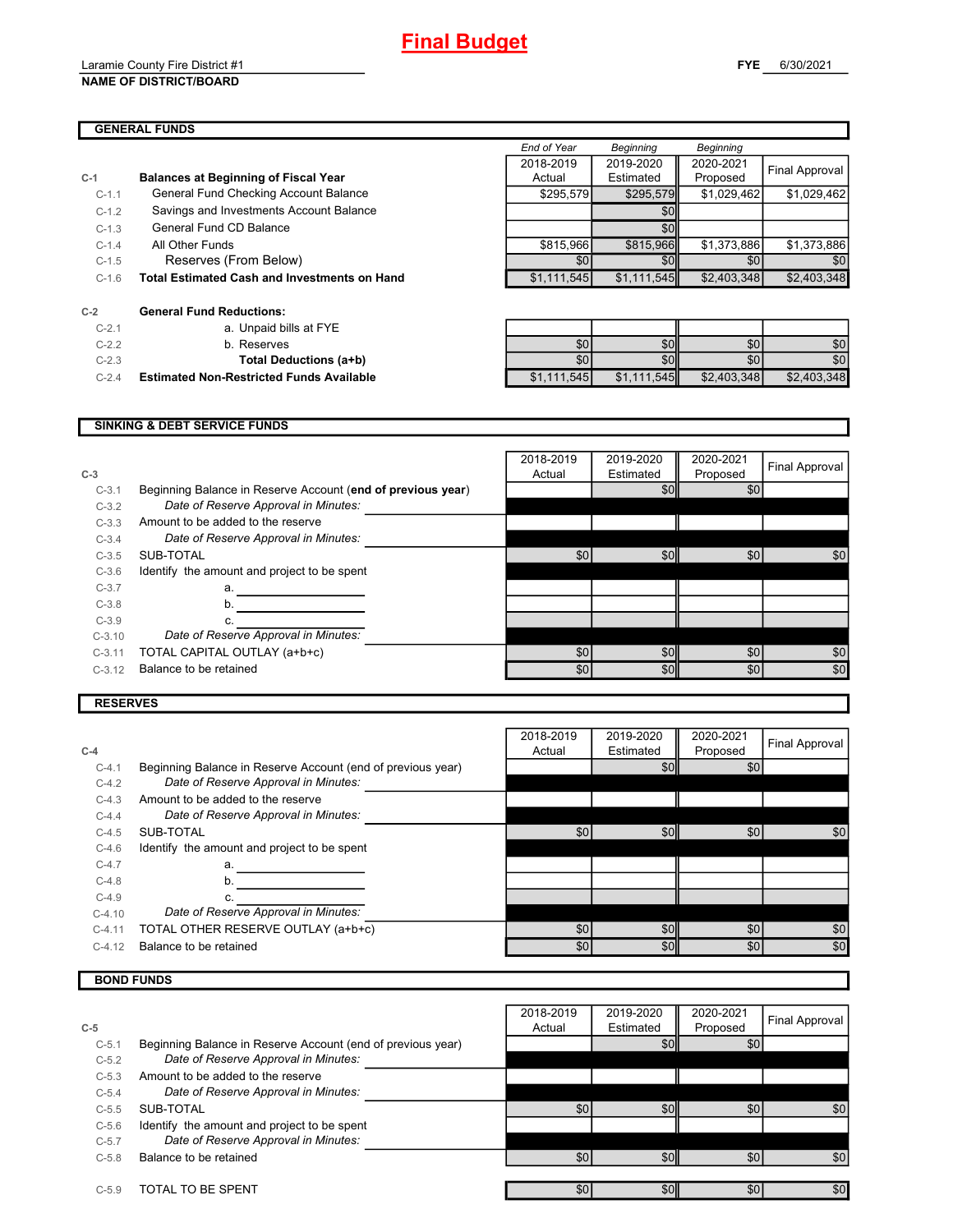#### Laramie County Fire District #1 **NAME OF DISTRICT/BOARD**

## **GENERAL FUNDS**

| <b>GENERAL FUNDS</b> |                                             |  |             |           |             |                       |  |
|----------------------|---------------------------------------------|--|-------------|-----------|-------------|-----------------------|--|
|                      |                                             |  | End of Year | Beginning | Beginning   |                       |  |
|                      |                                             |  | 2018-2019   | 2019-2020 | 2020-2021   | <b>Final Approval</b> |  |
|                      | <b>Balances at Beginning of Fiscal Year</b> |  | Actual      | Estimated | Proposed    |                       |  |
| $C-1.1$              | General Fund Checking Account Balance       |  | \$295,579   | \$295.579 | \$1.029.462 | \$1,029,462           |  |
| $C-1.2$              | Savings and Investments Account Balance     |  |             | \$0       |             |                       |  |

**C-1 Balances at Beginning of Fiscal Year**

- C-1.3 General Fund CD Balance **CD Balance COD COD EXECUTE:** A COD CODE CONTENT OF THE CONTENT OF THE CONTENT OF THE CONTENT OF THE CONTENT OF THE CONTENT OF THE CONTENT OF THE CONTENT OF THE CONTENT OF THE CONTENT OF THE
- C-1.4 All Other Funds \$815,966 \$815,966 \$1,373,886 \$1,373,886
- $C-1.5$  Reserves (From Below)  $\overline{50}$   $\overline{50}$   $\overline{50}$   $\overline{50}$   $\overline{50}$   $\overline{50}$   $\overline{50}$
- C-1.6 \$1,111,545 \$1,111,545 \$2,403,348 \$2,403,348 **Total Estimated Cash and Investments on Hand**

| $C-2$    | <b>General Fund Reductions:</b>                 |
|----------|-------------------------------------------------|
| $C - 21$ | a. Unpaid bills at FYE                          |
| $C-22$   | b. Reserves                                     |
| $C-2.3$  | Total Deductions (a+b)                          |
| $C - 24$ | <b>Estimated Non-Restricted Funds Available</b> |

| $C-2.7$ | a. Unpaid bills at FYE                          |             |                  |             |             |
|---------|-------------------------------------------------|-------------|------------------|-------------|-------------|
| $C-2.2$ | b. Reserves                                     | \$0         | \$0 <sub>1</sub> | \$0         | \$0         |
| $C-2.3$ | Total Deductions (a+b)                          | \$0         | \$0              |             | \$0         |
| $C-2.4$ | <b>Estimated Non-Restricted Funds Available</b> | \$1,111,545 | \$1,111,545      | \$2,403,348 | \$2,403,348 |

#### **SINKING & DEBT SERVICE FUNDS**

| $C-3$    |                                                             | 2018-2019<br>Actual | 2019-2020<br>Estimated | 2020-2021<br>Proposed | Final Approval |
|----------|-------------------------------------------------------------|---------------------|------------------------|-----------------------|----------------|
| $C-3.1$  | Beginning Balance in Reserve Account (end of previous year) |                     | \$0                    | \$0                   |                |
| $C-3.2$  | Date of Reserve Approval in Minutes:                        |                     |                        |                       |                |
| $C-3.3$  | Amount to be added to the reserve                           |                     |                        |                       |                |
| $C-3.4$  | Date of Reserve Approval in Minutes:                        |                     |                        |                       |                |
| $C-3.5$  | SUB-TOTAL                                                   | \$0                 | \$0                    | \$0                   | \$0            |
| $C-3.6$  | Identify the amount and project to be spent                 |                     |                        |                       |                |
| $C-3.7$  | a.                                                          |                     |                        |                       |                |
| $C-3.8$  | b.                                                          |                     |                        |                       |                |
| $C-3.9$  | c.                                                          |                     |                        |                       |                |
| $C-3.10$ | Date of Reserve Approval in Minutes:                        |                     |                        |                       |                |
| $C-3.11$ | TOTAL CAPITAL OUTLAY (a+b+c)                                | \$0                 | \$0                    | \$0                   | \$0            |
| $C-3.12$ | Balance to be retained                                      | \$0                 | \$0                    | \$0                   | \$0            |

## **RESERVES**

| $C-4$    |                                                             | 2018-2019<br>Actual | 2019-2020<br>Estimated | 2020-2021<br>Proposed | Final Approval |
|----------|-------------------------------------------------------------|---------------------|------------------------|-----------------------|----------------|
|          |                                                             |                     |                        |                       |                |
| $C-4.1$  | Beginning Balance in Reserve Account (end of previous year) |                     | \$0                    | \$0                   |                |
| $C-4.2$  | Date of Reserve Approval in Minutes:                        |                     |                        |                       |                |
| $C-4.3$  | Amount to be added to the reserve                           |                     |                        |                       |                |
| $C-4.4$  | Date of Reserve Approval in Minutes:                        |                     |                        |                       |                |
| $C-4.5$  | SUB-TOTAL                                                   | \$0                 | \$0                    | \$0                   | \$0            |
| $C-4.6$  | Identify the amount and project to be spent                 |                     |                        |                       |                |
| $C-4.7$  | a.                                                          |                     |                        |                       |                |
| $C-4.8$  | b.                                                          |                     |                        |                       |                |
| $C-4.9$  |                                                             |                     |                        |                       |                |
| $C-4.10$ | Date of Reserve Approval in Minutes:                        |                     |                        |                       |                |
| $C-4.11$ | TOTAL OTHER RESERVE OUTLAY (a+b+c)                          | \$0                 | \$0                    | \$0                   | \$0            |
| $C-4.12$ | Balance to be retained                                      | \$0                 | \$0                    | \$0                   | \$0            |

## **BOND FUNDS**

|         |                                                             | 2018-2019 | 2019-2020 | 2020-2021        |                |
|---------|-------------------------------------------------------------|-----------|-----------|------------------|----------------|
| $C-5$   |                                                             | Actual    | Estimated | Proposed         | Final Approval |
| $C-5.1$ | Beginning Balance in Reserve Account (end of previous year) |           | \$0       | \$0              |                |
| $C-5.2$ | Date of Reserve Approval in Minutes:                        |           |           |                  |                |
| $C-5.3$ | Amount to be added to the reserve                           |           |           |                  |                |
| $C-5.4$ | Date of Reserve Approval in Minutes:                        |           |           |                  |                |
| $C-5.5$ | SUB-TOTAL                                                   | \$0       | \$0       | \$0              | \$0            |
| $C-5.6$ | Identify the amount and project to be spent                 |           |           |                  |                |
| $C-5.7$ | Date of Reserve Approval in Minutes:                        |           |           |                  |                |
| $C-5.8$ | Balance to be retained                                      | \$0       | \$0       | \$0 <sub>1</sub> | \$0            |
| $C-5.9$ | TOTAL TO BE SPENT                                           | \$0       | \$0       | \$0              | \$0            |